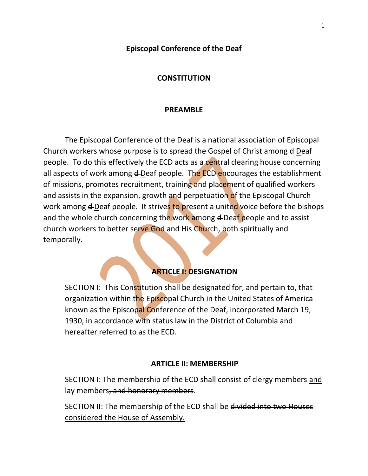#### **Episcopal Conference of the Deaf**

#### **CONSTITUTION**

#### **PREAMBLE**

The Episcopal Conference of the Deaf is a national association of Episcopal Church workers whose purpose is to spread the Gospel of Christ among  $\triangle$ Deaf people. To do this effectively the ECD acts as a central clearing house concerning all aspects of work among  $\triangle$ Deaf people. The ECD encourages the establishment of missions, promotes recruitment, training and placement of qualified workers and assists in the expansion, growth and perpetuation of the Episcopal Church work among **d**-Deaf people. It strives to present a united voice before the bishops and the whole church concerning the work among d-Deaf people and to assist church workers to better serve God and His Church, both spiritually and temporally.

## **ARTICLE I: DESIGNATION**

SECTION I: This Constitution shall be designated for, and pertain to, that organization within the Episcopal Church in the United States of America known as the Episcopal Conference of the Deaf, incorporated March 19, 1930, in accordance with status law in the District of Columbia and hereafter referred to as the ECD.

#### **ARTICLE II: MEMBERSHIP**

SECTION I: The membership of the ECD shall consist of clergy members and lay members, and honorary members.

SECTION II: The membership of the ECD shall be divided into two Houses considered the House of Assembly.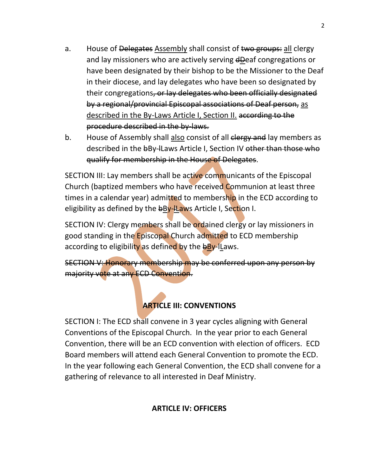- a. House of Delegates Assembly shall consist of two groups: all clergy and lay missioners who are actively serving dDeaf congregations or have been designated by their bishop to be the Missioner to the Deaf in their diocese, and lay delegates who have been so designated by their congregations, or lay delegates who been officially designated by a regional/provincial Episcopal associations of Deaf person, as described in the By-Laws Article I, Section II. according to the procedure described in the by-laws.
- b. House of Assembly shall also consist of all elergy and lay members as described in the bBy-ILaws Article I, Section IV other than those who qualify for membership in the House of Delegates.

SECTION III: Lay members shall be active communicants of the Episcopal Church (baptized members who have received Communion at least three times in a calendar year) admitted to membership in the ECD according to eligibility as defined by the bBy-Laws Article I, Section I.

SECTION IV: Clergy members shall be ordained clergy or lay missioners in good standing in the Episcopal Church admitted to ECD membership according to eligibility as defined by the bBy-ILaws.

SECTION V: Honorary membership may be conferred upon any person by majority vote at any ECD Convention.

# **ARTICLE III: CONVENTIONS**

SECTION I: The ECD shall convene in 3 year cycles aligning with General Conventions of the Episcopal Church. In the year prior to each General Convention, there will be an ECD convention with election of officers. ECD Board members will attend each General Convention to promote the ECD. In the year following each General Convention, the ECD shall convene for a gathering of relevance to all interested in Deaf Ministry.

## **ARTICLE IV: OFFICERS**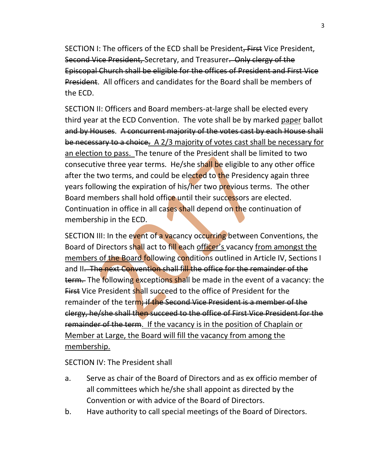SECTION I: The officers of the ECD shall be President, First Vice President, Second Vice President, Secretary, and Treasurer. Only clergy of the Episcopal Church shall be eligible for the offices of President and First Vice President. All officers and candidates for the Board shall be members of the ECD.

SECTION II: Officers and Board members-at-large shall be elected every third year at the ECD Convention. The vote shall be by marked paper ballot and by Houses. A concurrent majority of the votes cast by each House shall be necessary to a choice. A 2/3 majority of votes cast shall be necessary for an election to pass. The tenure of the President shall be limited to two consecutive three year terms. He/she shall be eligible to any other office after the two terms, and could be elected to the Presidency again three years following the expiration of his/her two previous terms. The other Board members shall hold office until their successors are elected. Continuation in office in all cases shall depend on the continuation of membership in the ECD.

SECTION III: In the event of a vacancy occurring between Conventions, the Board of Directors shall act to fill each officer's vacancy from amongst the members of the Board following conditions outlined in Article IV, Sections I and II. The next Convention shall fill the office for the remainder of the term. The following exceptions shall be made in the event of a vacancy: the **First Vice President shall succeed to the office of President for the** remainder of the term; if the Second Vice President is a member of the clergy, he/she shall then succeed to the office of First Vice President for the remainder of the term. If the vacancy is in the position of Chaplain or Member at Large, the Board will fill the vacancy from among the membership.

SECTION IV: The President shall

- a. Serve as chair of the Board of Directors and as ex officio member of all committees which he/she shall appoint as directed by the Convention or with advice of the Board of Directors.
- b. Have authority to call special meetings of the Board of Directors.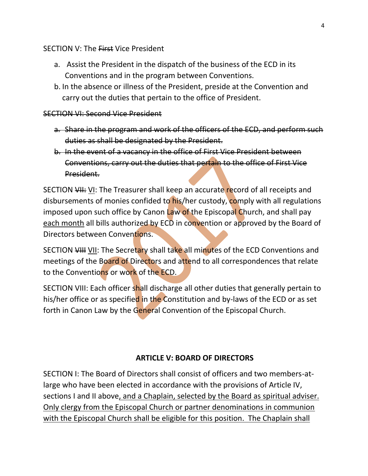#### SECTION V: The First Vice President

- a. Assist the President in the dispatch of the business of the ECD in its Conventions and in the program between Conventions.
- b. In the absence or illness of the President, preside at the Convention and carry out the duties that pertain to the office of President.

#### SECTION VI: Second Vice President

- a. Share in the program and work of the officers of the ECD, and perform such duties as shall be designated by the President.
- b. In the event of a vacancy in the office of First Vice President between Conventions, carry out the duties that pertain to the office of First Vice President.

SECTION VII: VI: The Treasurer shall keep an accurate record of all receipts and disbursements of monies confided to his/her custody, comply with all regulations imposed upon such office by Canon Law of the Episcopal Church, and shall pay each month all bills authorized by ECD in convention or approved by the Board of Directors between Conventions.

SECTION VIII VII: The Secretary shall take all minutes of the ECD Conventions and meetings of the Board of Directors and attend to all correspondences that relate to the Conventions or work of the ECD.

SECTION VIII: Each officer shall discharge all other duties that generally pertain to his/her office or as specified in the Constitution and by-laws of the ECD or as set forth in Canon Law by the General Convention of the Episcopal Church.

## **ARTICLE V: BOARD OF DIRECTORS**

SECTION I: The Board of Directors shall consist of officers and two members-atlarge who have been elected in accordance with the provisions of Article IV, sections I and II above, and a Chaplain, selected by the Board as spiritual adviser. Only clergy from the Episcopal Church or partner denominations in communion with the Episcopal Church shall be eligible for this position. The Chaplain shall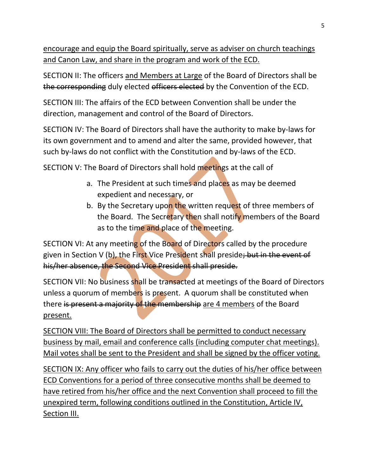encourage and equip the Board spiritually, serve as adviser on church teachings and Canon Law, and share in the program and work of the ECD.

SECTION II: The officers and Members at Large of the Board of Directors shall be the corresponding duly elected officers elected by the Convention of the ECD.

SECTION III: The affairs of the ECD between Convention shall be under the direction, management and control of the Board of Directors.

SECTION IV: The Board of Directors shall have the authority to make by-laws for its own government and to amend and alter the same, provided however, that such by-laws do not conflict with the Constitution and by-laws of the ECD.

SECTION V: The Board of Directors shall hold meetings at the call of

- a. The President at such times and places as may be deemed expedient and necessary, or
- b. By the Secretary upon the written request of three members of the Board. The Secretary then shall notify members of the Board as to the time and place of the meeting.

SECTION VI: At any meeting of the Board of Directors called by the procedure given in Section V (b), the First Vice President shall preside; but in the event of his/her absence, the Second Vice President shall preside.

SECTION VII: No business shall be transacted at meetings of the Board of Directors unless a quorum of members is present. A quorum shall be constituted when there is present a majority of the membership are 4 members of the Board present.

SECTION VIII: The Board of Directors shall be permitted to conduct necessary business by mail, email and conference calls (including computer chat meetings). Mail votes shall be sent to the President and shall be signed by the officer voting.

SECTION IX: Any officer who fails to carry out the duties of his/her office between ECD Conventions for a period of three consecutive months shall be deemed to have retired from his/her office and the next Convention shall proceed to fill the unexpired term, following conditions outlined in the Constitution, Article IV, Section III.